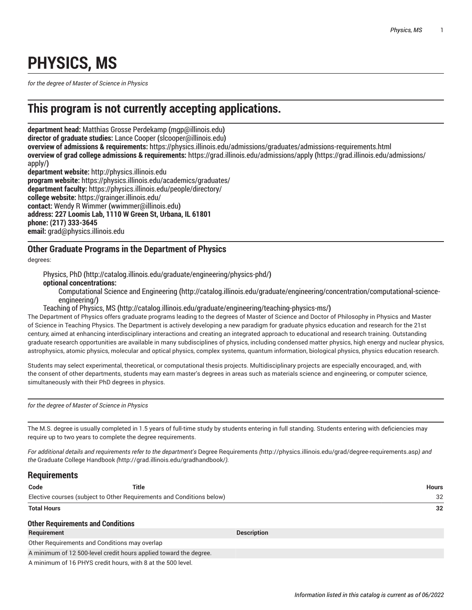## **PHYSICS, MS**

*for the degree of Master of Science in Physics*

## **This program is not currently accepting applications.**

**department head:** Matthias Grosse [Perdekamp](mailto:mgp@illinois.edu) **(**<mgp@illinois.edu>**) director of graduate studies:** [Lance Cooper](mailto:slcooper@illinois.edu) **(**<slcooper@illinois.edu>**) overview of admissions & requirements:** <https://physics.illinois.edu/admissions/graduates/admissions-requirements.html> **overview of grad college admissions & requirements:** [https://grad.illinois.edu/admissions/apply](https://grad.illinois.edu/admissions/apply/) **(**[https://grad.illinois.edu/admissions/](https://grad.illinois.edu/admissions/apply/) [apply/](https://grad.illinois.edu/admissions/apply/)**) department website:** <http://physics.illinois.edu> **program website:** <https://physics.illinois.edu/academics/graduates/>

**department faculty:** <https://physics.illinois.edu/people/directory/> **college website:** <https://grainger.illinois.edu/> **contact:** Wendy R [Wimmer](mailto:wwimmer@illinois.edu) **(**<wwimmer@illinois.edu>**) address: 227 Loomis Lab, 1110 W Green St, Urbana, IL 61801 phone: (217) 333-3645 email:** [grad@physics.illinois.edu](mailto:grad@physics.illinois.edu)

## **Other Graduate Programs in the Department of Physics**

degrees:

[Physics, PhD](http://catalog.illinois.edu/graduate/engineering/physics-phd/) **(**<http://catalog.illinois.edu/graduate/engineering/physics-phd/>**)**

**optional concentrations:**

[Computational Science and Engineering](http://catalog.illinois.edu/graduate/engineering/concentration/computational-science-engineering/) **(**[http://catalog.illinois.edu/graduate/engineering/concentration/computational-science](http://catalog.illinois.edu/graduate/engineering/concentration/computational-science-engineering/)[engineering/](http://catalog.illinois.edu/graduate/engineering/concentration/computational-science-engineering/)**)**

[Teaching](http://catalog.illinois.edu/graduate/engineering/teaching-physics-ms/) of Physics, MS **(**<http://catalog.illinois.edu/graduate/engineering/teaching-physics-ms/>**)**

The Department of Physics offers graduate programs leading to the degrees of Master of Science and Doctor of Philosophy in Physics and Master of Science in Teaching Physics. The Department is actively developing a new paradigm for graduate physics education and research for the 21st century, aimed at enhancing interdisciplinary interactions and creating an integrated approach to educational and research training. Outstanding graduate research opportunities are available in many subdisciplines of physics, including condensed matter physics, high energy and nuclear physics, astrophysics, atomic physics, molecular and optical physics, complex systems, quantum information, biological physics, physics education research.

Students may select experimental, theoretical, or computational thesis projects. Multidisciplinary projects are especially encouraged, and, with the consent of other departments, students may earn master's degrees in areas such as materials science and engineering, or computer science, simultaneously with their PhD degrees in physics.

*for the degree of Master of Science in Physics*

The M.S. degree is usually completed in 1.5 years of full-time study by students entering in full standing. Students entering with deficiencies may require up to two years to complete the degree requirements.

For additional details and requirements refer to the department's Degree [Requirements](http://physics.illinois.edu/grad/degree-requirements.asp) (<http://physics.illinois.edu/grad/degree-requirements.asp>) and *the* [Graduate College Handbook](http://grad.illinois.edu/gradhandbook/) *(*<http://grad.illinois.edu/gradhandbook/>*).*

## **Requirements**

| Code                                                                  | Title |                    | <b>Hours</b> |
|-----------------------------------------------------------------------|-------|--------------------|--------------|
| Elective courses (subject to Other Requirements and Conditions below) |       |                    | 32           |
| <b>Total Hours</b>                                                    |       |                    | 32           |
| <b>Other Requirements and Conditions</b>                              |       |                    |              |
| Requirement                                                           |       | <b>Description</b> |              |
|                                                                       |       |                    |              |

Other Requirements and Conditions may overlap

A minimum of 12 500-level credit hours applied toward the degree.

A minimum of 16 PHYS credit hours, with 8 at the 500 level.